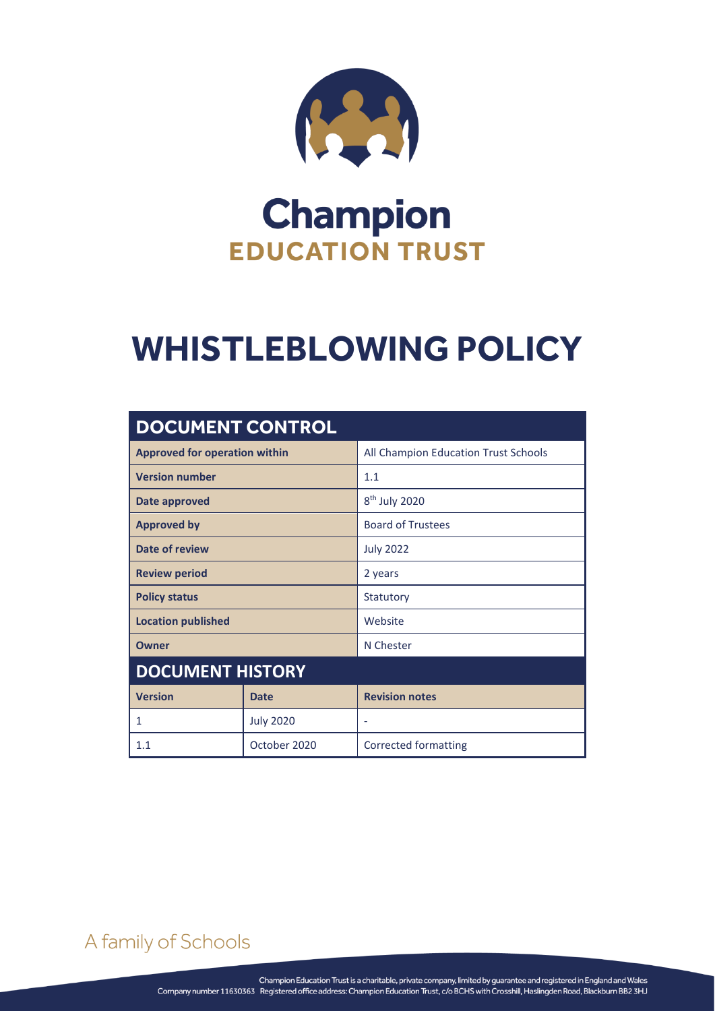

## **Champion EDUCATION TRUST**

# **WHISTLEBLOWING POLICY**

| <b>DOCUMENT CONTROL</b>              |                  |                                      |  |
|--------------------------------------|------------------|--------------------------------------|--|
| <b>Approved for operation within</b> |                  | All Champion Education Trust Schools |  |
| <b>Version number</b>                |                  | 1.1                                  |  |
| <b>Date approved</b>                 |                  | 8 <sup>th</sup> July 2020            |  |
| <b>Approved by</b>                   |                  | <b>Board of Trustees</b>             |  |
| Date of review                       |                  | <b>July 2022</b>                     |  |
| <b>Review period</b>                 |                  | 2 years                              |  |
| <b>Policy status</b>                 |                  | Statutory                            |  |
| <b>Location published</b>            |                  | Website                              |  |
| Owner                                |                  | N Chester                            |  |
| <b>DOCUMENT HISTORY</b>              |                  |                                      |  |
| <b>Version</b>                       | <b>Date</b>      | <b>Revision notes</b>                |  |
| 1                                    | <b>July 2020</b> | $\overline{a}$                       |  |
| 1.1                                  | October 2020     | <b>Corrected formatting</b>          |  |

A family of Schools

Whistleblowing policy page  $\mathbf{a}$  of  $\mathbf{a}$  of  $\mathbf{a}$  of  $\mathbf{a}$  of  $\mathbf{a}$  of  $\mathbf{a}$  of  $\mathbf{a}$  of  $\mathbf{a}$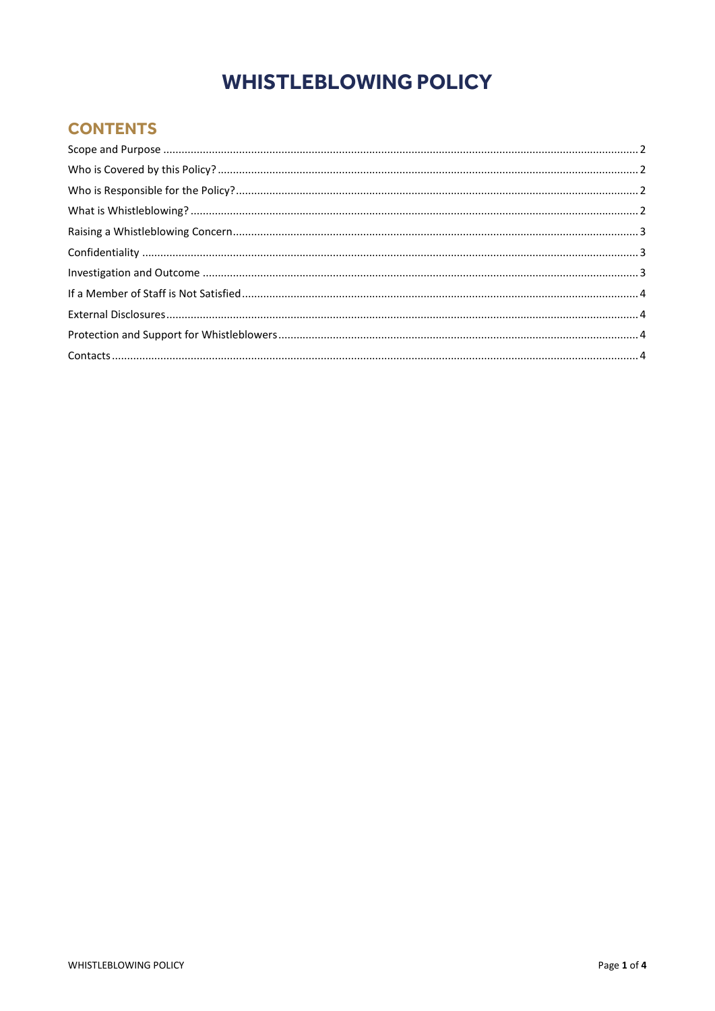## **WHISTLEBLOWING POLICY**

#### **CONTENTS**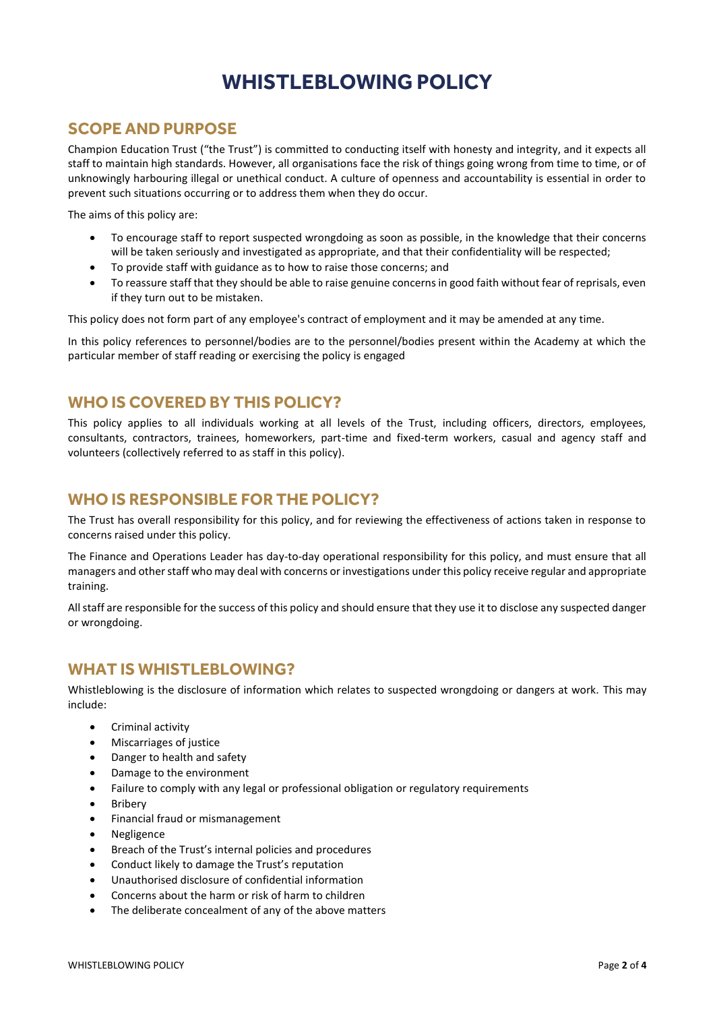### **WHISTLEBLOWING POLICY**

#### <span id="page-2-0"></span>**SCOPE AND PURPOSE**

Champion Education Trust ("the Trust") is committed to conducting itself with honesty and integrity, and it expects all staff to maintain high standards. However, all organisations face the risk of things going wrong from time to time, or of unknowingly harbouring illegal or unethical conduct. A culture of openness and accountability is essential in order to prevent such situations occurring or to address them when they do occur.

The aims of this policy are:

- To encourage staff to report suspected wrongdoing as soon as possible, in the knowledge that their concerns will be taken seriously and investigated as appropriate, and that their confidentiality will be respected;
- To provide staff with guidance as to how to raise those concerns; and
- To reassure staff that they should be able to raise genuine concerns in good faith without fear of reprisals, even if they turn out to be mistaken.

This policy does not form part of any employee's contract of employment and it may be amended at any time.

In this policy references to personnel/bodies are to the personnel/bodies present within the Academy at which the particular member of staff reading or exercising the policy is engaged

#### <span id="page-2-1"></span>**WHO IS COVERED BY THIS POLICY?**

This policy applies to all individuals working at all levels of the Trust, including officers, directors, employees, consultants, contractors, trainees, homeworkers, part-time and fixed-term workers, casual and agency staff and volunteers (collectively referred to as staff in this policy).

#### <span id="page-2-2"></span>**WHO IS RESPONSIBLE FOR THE POLICY?**

The Trust has overall responsibility for this policy, and for reviewing the effectiveness of actions taken in response to concerns raised under this policy.

The Finance and Operations Leader has day-to-day operational responsibility for this policy, and must ensure that all managers and other staff who may deal with concerns or investigations under this policy receive regular and appropriate training.

All staff are responsible for the success of this policy and should ensure that they use it to disclose any suspected danger or wrongdoing.

#### <span id="page-2-3"></span>**WHAT IS WHISTLEBLOWING?**

Whistleblowing is the disclosure of information which relates to suspected wrongdoing or dangers at work. This may include:

- **•** Criminal activity
- Miscarriages of justice
- Danger to health and safety
- Damage to the environment
- Failure to comply with any legal or professional obligation or regulatory requirements
- Bribery
- **•** Financial fraud or mismanagement
- Negligence
- Breach of the Trust's internal policies and procedures
- Conduct likely to damage the Trust's reputation
- Unauthorised disclosure of confidential information
- Concerns about the harm or risk of harm to children
- The deliberate concealment of any of the above matters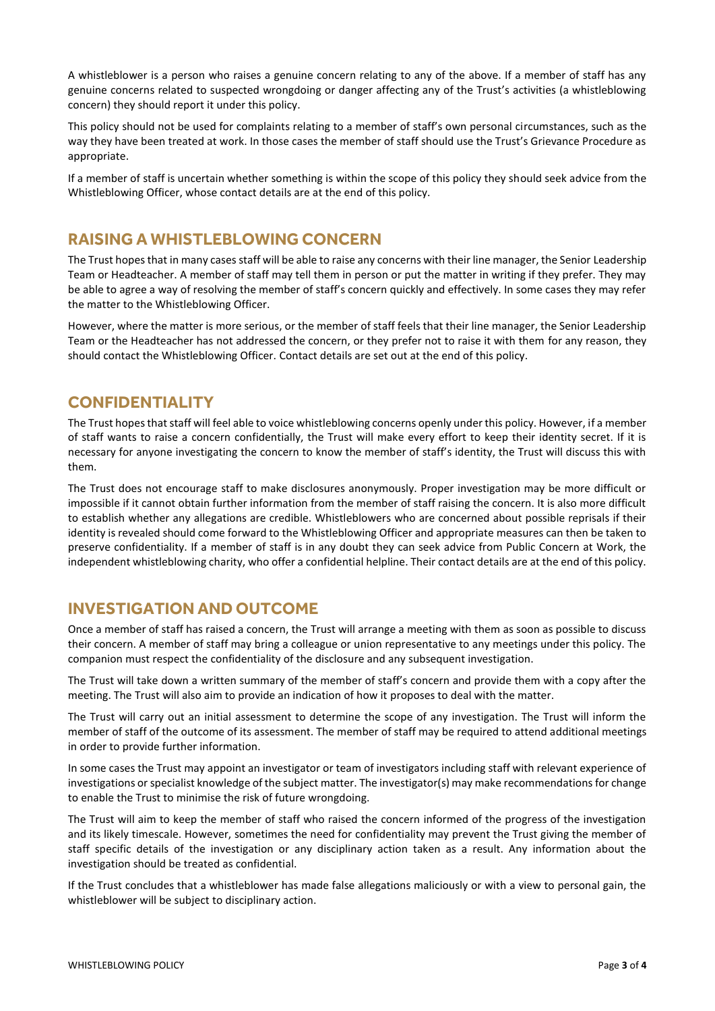A whistleblower is a person who raises a genuine concern relating to any of the above. If a member of staff has any genuine concerns related to suspected wrongdoing or danger affecting any of the Trust's activities (a whistleblowing concern) they should report it under this policy.

This policy should not be used for complaints relating to a member of staff's own personal circumstances, such as the way they have been treated at work. In those cases the member of staff should use the Trust's Grievance Procedure as appropriate.

If a member of staff is uncertain whether something is within the scope of this policy they should seek advice from the Whistleblowing Officer, whose contact details are at the end of this policy.

#### <span id="page-3-0"></span>**RAISING A WHISTLEBLOWING CONCERN**

The Trust hopes that in many cases staff will be able to raise any concerns with their line manager, the Senior Leadership Team or Headteacher. A member of staff may tell them in person or put the matter in writing if they prefer. They may be able to agree a way of resolving the member of staff's concern quickly and effectively. In some cases they may refer the matter to the Whistleblowing Officer.

However, where the matter is more serious, or the member of staff feels that their line manager, the Senior Leadership Team or the Headteacher has not addressed the concern, or they prefer not to raise it with them for any reason, they should contact the Whistleblowing Officer. Contact details are set out at the end of this policy.

#### <span id="page-3-1"></span>**CONFIDENTIALITY**

The Trust hopes that staff will feel able to voice whistleblowing concerns openly under this policy. However, if a member of staff wants to raise a concern confidentially, the Trust will make every effort to keep their identity secret. If it is necessary for anyone investigating the concern to know the member of staff's identity, the Trust will discuss this with them.

The Trust does not encourage staff to make disclosures anonymously. Proper investigation may be more difficult or impossible if it cannot obtain further information from the member of staff raising the concern. It is also more difficult to establish whether any allegations are credible. Whistleblowers who are concerned about possible reprisals if their identity is revealed should come forward to the Whistleblowing Officer and appropriate measures can then be taken to preserve confidentiality. If a member of staff is in any doubt they can seek advice from Public Concern at Work, the independent whistleblowing charity, who offer a confidential helpline. Their contact details are at the end of this policy.

#### <span id="page-3-2"></span>**INVESTIGATION AND OUTCOME**

Once a member of staff has raised a concern, the Trust will arrange a meeting with them as soon as possible to discuss their concern. A member of staff may bring a colleague or union representative to any meetings under this policy. The companion must respect the confidentiality of the disclosure and any subsequent investigation.

The Trust will take down a written summary of the member of staff's concern and provide them with a copy after the meeting. The Trust will also aim to provide an indication of how it proposes to deal with the matter.

The Trust will carry out an initial assessment to determine the scope of any investigation. The Trust will inform the member of staff of the outcome of its assessment. The member of staff may be required to attend additional meetings in order to provide further information.

In some cases the Trust may appoint an investigator or team of investigators including staff with relevant experience of investigations or specialist knowledge of the subject matter. The investigator(s) may make recommendations for change to enable the Trust to minimise the risk of future wrongdoing.

The Trust will aim to keep the member of staff who raised the concern informed of the progress of the investigation and its likely timescale. However, sometimes the need for confidentiality may prevent the Trust giving the member of staff specific details of the investigation or any disciplinary action taken as a result. Any information about the investigation should be treated as confidential.

If the Trust concludes that a whistleblower has made false allegations maliciously or with a view to personal gain, the whistleblower will be subject to disciplinary action.